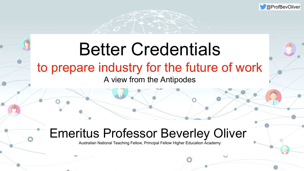## Better Credentials to prepare industry for the future of work A view from the Antipodes





## Emeritus Professor Beverley Oliver

Australian National Teaching Fellow, Principal Fellow Higher Education Academy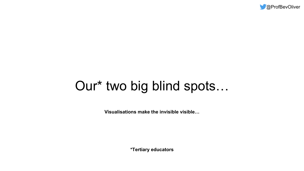

# Our\* two big blind spots…

**\*Tertiary educators**

**Visualisations make the invisible visible…**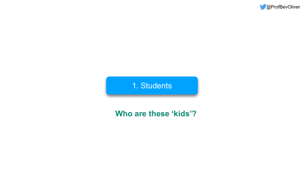

### 1. Students



### **Who are these 'kids'?**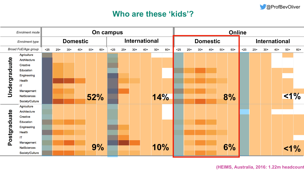**(HEIMS, Australia, 2016: 1.22m headcount**



#### **Who are these 'kids'?**

| evOliver   |     |  |  |  |  |  |  |
|------------|-----|--|--|--|--|--|--|
|            |     |  |  |  |  |  |  |
|            |     |  |  |  |  |  |  |
| <b>ial</b> |     |  |  |  |  |  |  |
| $50+$      | 60+ |  |  |  |  |  |  |
|            |     |  |  |  |  |  |  |
|            |     |  |  |  |  |  |  |
|            |     |  |  |  |  |  |  |
|            |     |  |  |  |  |  |  |
|            |     |  |  |  |  |  |  |
| $<$ 1%     |     |  |  |  |  |  |  |
|            |     |  |  |  |  |  |  |
|            |     |  |  |  |  |  |  |
|            |     |  |  |  |  |  |  |
|            |     |  |  |  |  |  |  |
|            |     |  |  |  |  |  |  |
| $< 1\%$    |     |  |  |  |  |  |  |
|            |     |  |  |  |  |  |  |

|                            | <b>Enrolment mode</b> | <b>On campus</b> |       |       |     |                                                              |         |     |       |       |
|----------------------------|-----------------------|------------------|-------|-------|-----|--------------------------------------------------------------|---------|-----|-------|-------|
| <b>Enrolment type</b>      | <b>Domestic</b>       |                  |       |       |     |                                                              | Interna |     |       |       |
| <b>Broad FoE/Age group</b> |                       | $25$             | $25+$ | $30+$ | 40+ | $50+$                                                        | $60+$   | <25 | $25+$ | $30+$ |
|                            | Agriculture           |                  |       |       |     |                                                              |         |     |       |       |
| ndergraduate               | Architecture          |                  |       |       |     |                                                              |         |     |       |       |
|                            | Creative              |                  |       |       |     |                                                              |         |     |       |       |
|                            | Education             |                  |       |       |     |                                                              |         |     |       |       |
|                            | Engineering           |                  |       |       |     |                                                              |         |     |       |       |
|                            | Health                |                  |       |       |     |                                                              |         |     |       |       |
|                            | IT                    |                  |       |       |     |                                                              |         |     |       |       |
|                            | Management            |                  |       |       |     |                                                              |         |     |       |       |
|                            | <b>NatSciences</b>    |                  |       |       |     |                                                              |         |     |       |       |
|                            | Society/Culture       |                  |       |       |     | $\overline{\mathbf{V}}$ $\mathbf{L}$ $\overline{\mathbf{V}}$ |         |     |       |       |
| Postgraduate               | Agriculture           |                  |       |       |     |                                                              |         |     |       |       |
|                            | Architecture          |                  |       |       |     |                                                              |         |     |       |       |
|                            | Creative              |                  |       |       |     |                                                              |         |     |       |       |
|                            | Education             |                  |       |       |     |                                                              |         |     |       |       |
|                            | Engineering           |                  |       |       |     |                                                              |         |     |       |       |
|                            | Health                |                  |       |       |     |                                                              |         |     |       |       |
|                            | IT                    |                  |       |       |     |                                                              |         |     |       |       |
|                            | Management            |                  |       |       |     |                                                              |         |     |       |       |
|                            | <b>NatSciences</b>    |                  |       |       |     |                                                              | 9%      |     |       |       |
|                            | Society/Culture       |                  |       |       |     |                                                              |         |     |       |       |

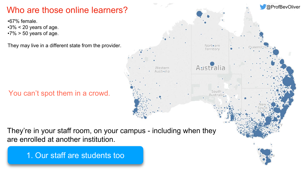### Who are those online learners?

•67% female.

- $-3\% < 20$  years of age.
- $•7\% > 50$  years of age.

They may live in a different state from the provider.

#### They're in your staff room, on your campus - including when they are enrolled at another institution.

#### You can't spot them in a crowd.

1. Our staff are students too





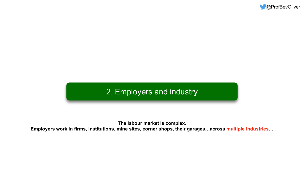**The labour market is complex. Employers work in firms, institutions, mine sites, corner shops, their garages…across multiple industries…**





### 2. Employers and industry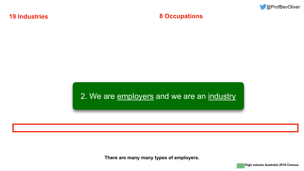#### **19 Industries**

#### 2. We are employers and we are an industry

**High volume Australia 2016 Census**









**There are many many types of employers.**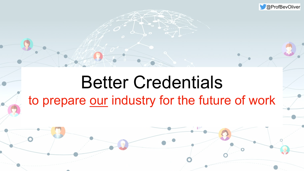# Better Credentials to prepare our industry for the future of work

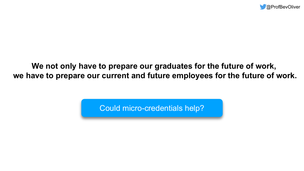### **We not only have to prepare our graduates for the future of work, we have to prepare our current and future employees for the future of work.**

Could micro-credentials help?



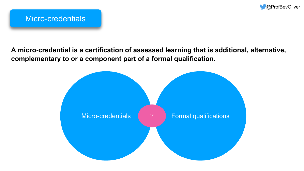#### **A micro-credential is a certification of assessed learning that is additional, alternative, complementary to or a component part of a formal qualification.**





Micro-credentials (2008) Formal qualifications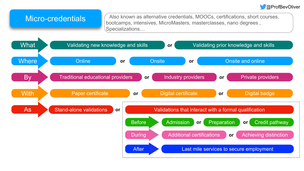Also known as alternative credentials, MOOCs, certifications, short courses,



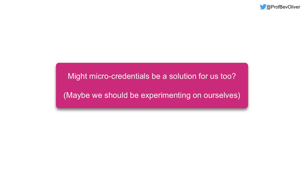#### Might micro-credentials be a solution for us too?

(Maybe we should be experimenting on ourselves)

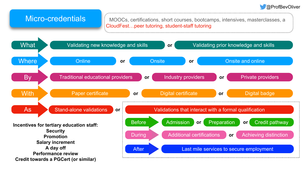

#### Micro-credentials

MOOCs, certifications, short courses, bootcamps, intensives, masterclasses, a CloudFest…peer tutoring, student-staff tutoring

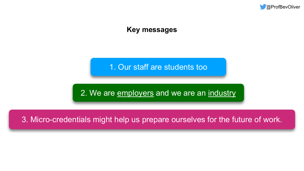#### 2. We are employers and we are an industry

1. Our staff are students too



#### 3. Micro-credentials might help us prepare ourselves for the future of work.

#### **Key messages**